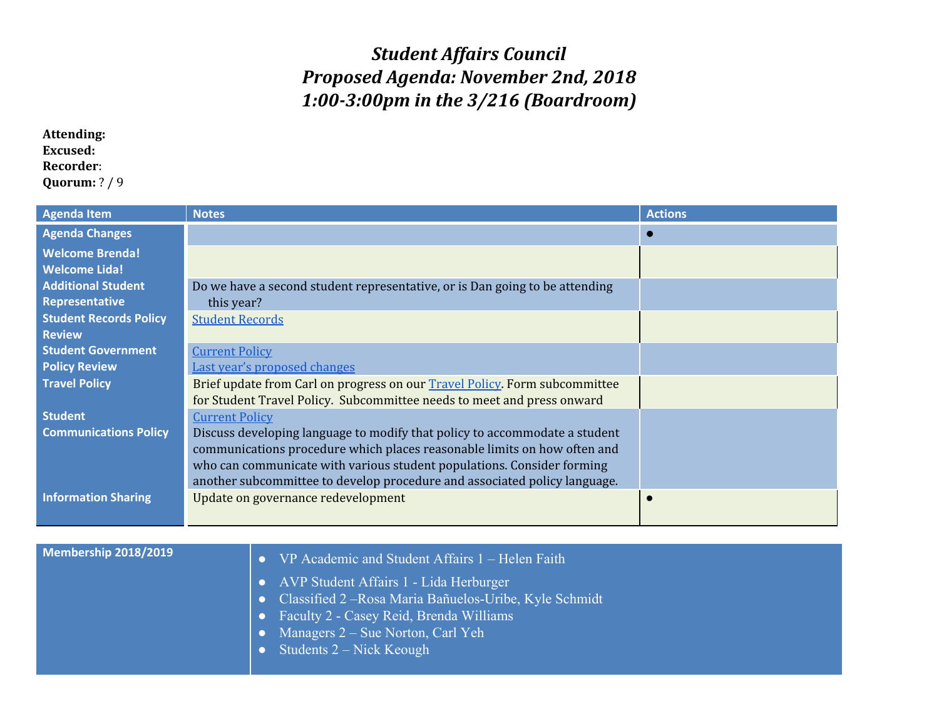## *Student Affairs Council Proposed Agenda: November 2nd, 2018 1:00-3:00pm in the 3/216 (Boardroom)*

## **Attending: Excused: Recorder**: **Quorum:** ? / 9

| <b>Agenda Item</b>            | <b>Notes</b>                                                                | <b>Actions</b> |
|-------------------------------|-----------------------------------------------------------------------------|----------------|
| <b>Agenda Changes</b>         |                                                                             |                |
| <b>Welcome Brenda!</b>        |                                                                             |                |
| <b>Welcome Lida!</b>          |                                                                             |                |
| <b>Additional Student</b>     | Do we have a second student representative, or is Dan going to be attending |                |
| Representative                | this year?                                                                  |                |
| <b>Student Records Policy</b> | <b>Student Records</b>                                                      |                |
| <b>Review</b>                 |                                                                             |                |
| <b>Student Government</b>     | <b>Current Policy</b>                                                       |                |
| <b>Policy Review</b>          | Last year's proposed changes                                                |                |
| <b>Travel Policy</b>          | Brief update from Carl on progress on our Travel Policy. Form subcommittee  |                |
|                               | for Student Travel Policy. Subcommittee needs to meet and press onward      |                |
| <b>Student</b>                | <b>Current Policy</b>                                                       |                |
| <b>Communications Policy</b>  | Discuss developing language to modify that policy to accommodate a student  |                |
|                               | communications procedure which places reasonable limits on how often and    |                |
|                               | who can communicate with various student populations. Consider forming      |                |
|                               | another subcommittee to develop procedure and associated policy language.   |                |
| <b>Information Sharing</b>    | Update on governance redevelopment                                          |                |
|                               |                                                                             |                |

| Membership 2018/2019 | <b>•</b> VP Academic and Student Affairs 1 – Helen Faith |
|----------------------|----------------------------------------------------------|
|                      | • AVP Student Affairs 1 - Lida Herburger                 |
|                      | • Classified 2 – Rosa Maria Bañuelos-Uribe, Kyle Schmidt |
|                      | • Faculty 2 - Casey Reid, Brenda Williams                |
|                      | • Managers $2 - S$ ue Norton, Carl Yeh                   |
|                      | • Students $2 - Nick$ Keough                             |